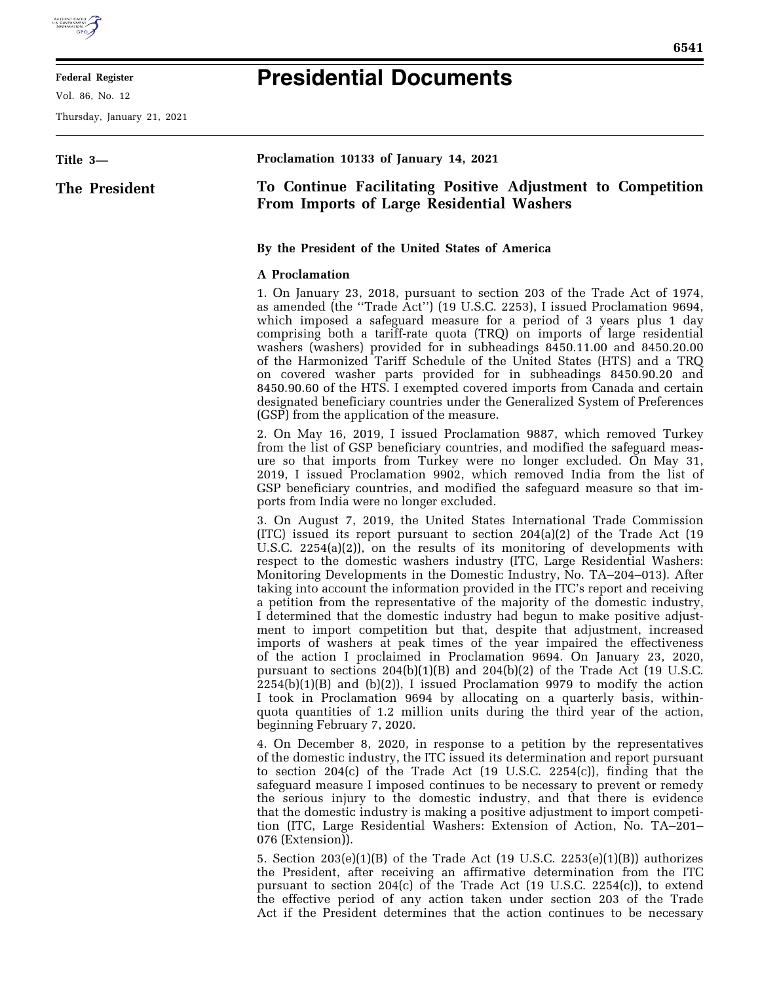

## **Federal Register**

Vol. 86, No. 12

Thursday, January 21, 2021

## **Presidential Documents**

| Title 3-      | Proclamation 10133 of January 14, 2021                                                                                                                                                                                                                                                                                                                                                                                                                                                                                                                                                                                                                                                                                                                                                                                                                                                                                                                                                                                                                                                                                                                                                                                                    |
|---------------|-------------------------------------------------------------------------------------------------------------------------------------------------------------------------------------------------------------------------------------------------------------------------------------------------------------------------------------------------------------------------------------------------------------------------------------------------------------------------------------------------------------------------------------------------------------------------------------------------------------------------------------------------------------------------------------------------------------------------------------------------------------------------------------------------------------------------------------------------------------------------------------------------------------------------------------------------------------------------------------------------------------------------------------------------------------------------------------------------------------------------------------------------------------------------------------------------------------------------------------------|
| The President | To Continue Facilitating Positive Adjustment to Competition<br><b>From Imports of Large Residential Washers</b>                                                                                                                                                                                                                                                                                                                                                                                                                                                                                                                                                                                                                                                                                                                                                                                                                                                                                                                                                                                                                                                                                                                           |
|               | By the President of the United States of America                                                                                                                                                                                                                                                                                                                                                                                                                                                                                                                                                                                                                                                                                                                                                                                                                                                                                                                                                                                                                                                                                                                                                                                          |
|               | <b>A</b> Proclamation                                                                                                                                                                                                                                                                                                                                                                                                                                                                                                                                                                                                                                                                                                                                                                                                                                                                                                                                                                                                                                                                                                                                                                                                                     |
|               | 1. On January 23, 2018, pursuant to section 203 of the Trade Act of 1974,<br>as amended (the "Trade Act") (19 U.S.C. 2253), I issued Proclamation 9694,<br>which imposed a safeguard measure for a period of 3 years plus 1 day<br>comprising both a tariff-rate quota (TRQ) on imports of large residential<br>washers (washers) provided for in subheadings 8450.11.00 and 8450.20.00<br>of the Harmonized Tariff Schedule of the United States (HTS) and a TRQ<br>on covered washer parts provided for in subheadings 8450.90.20 and<br>8450.90.60 of the HTS. I exempted covered imports from Canada and certain<br>designated beneficiary countries under the Generalized System of Preferences<br>(GSP) from the application of the measure.                                                                                                                                                                                                                                                                                                                                                                                                                                                                                        |
|               | 2. On May 16, 2019, I issued Proclamation 9887, which removed Turkey<br>from the list of GSP beneficiary countries, and modified the safeguard meas-<br>ure so that imports from Turkey were no longer excluded. On May 31,<br>2019, I issued Proclamation 9902, which removed India from the list of<br>GSP beneficiary countries, and modified the safeguard measure so that im-<br>ports from India were no longer excluded.                                                                                                                                                                                                                                                                                                                                                                                                                                                                                                                                                                                                                                                                                                                                                                                                           |
|               | 3. On August 7, 2019, the United States International Trade Commission<br>$(ITC)$ issued its report pursuant to section 204(a)(2) of the Trade Act (19<br>U.S.C. 2254(a)(2)), on the results of its monitoring of developments with<br>respect to the domestic washers industry (ITC, Large Residential Washers:<br>Monitoring Developments in the Domestic Industry, No. TA-204-013). After<br>taking into account the information provided in the ITC's report and receiving<br>a petition from the representative of the majority of the domestic industry,<br>I determined that the domestic industry had begun to make positive adjust-<br>ment to import competition but that, despite that adjustment, increased<br>imports of washers at peak times of the year impaired the effectiveness<br>of the action I proclaimed in Proclamation 9694. On January 23, 2020,<br>pursuant to sections $204(b)(1)(B)$ and $204(b)(2)$ of the Trade Act (19 U.S.C.<br>$2254(b)(1)(B)$ and $(b)(2)$ ), I issued Proclamation 9979 to modify the action<br>I took in Proclamation 9694 by allocating on a quarterly basis, within-<br>quota quantities of 1.2 million units during the third year of the action,<br>beginning February 7, 2020. |
|               | 4. On December 8, 2020, in response to a petition by the representatives<br>of the domestic industry, the ITC issued its determination and report pursuant<br>to section $204(c)$ of the Trade Act (19 U.S.C. 2254 $(c)$ ), finding that the<br>safeguard measure I imposed continues to be necessary to prevent or remedy                                                                                                                                                                                                                                                                                                                                                                                                                                                                                                                                                                                                                                                                                                                                                                                                                                                                                                                |

the serious injury to the domestic industry, and that there is evidence that the domestic industry is making a positive adjustment to import competition (ITC, Large Residential Washers: Extension of Action, No. TA–201– 076 (Extension)).

5. Section 203(e)(1)(B) of the Trade Act (19 U.S.C. 2253(e)(1)(B)) authorizes the President, after receiving an affirmative determination from the ITC pursuant to section 204(c) of the Trade Act (19 U.S.C. 2254(c)), to extend the effective period of any action taken under section 203 of the Trade Act if the President determines that the action continues to be necessary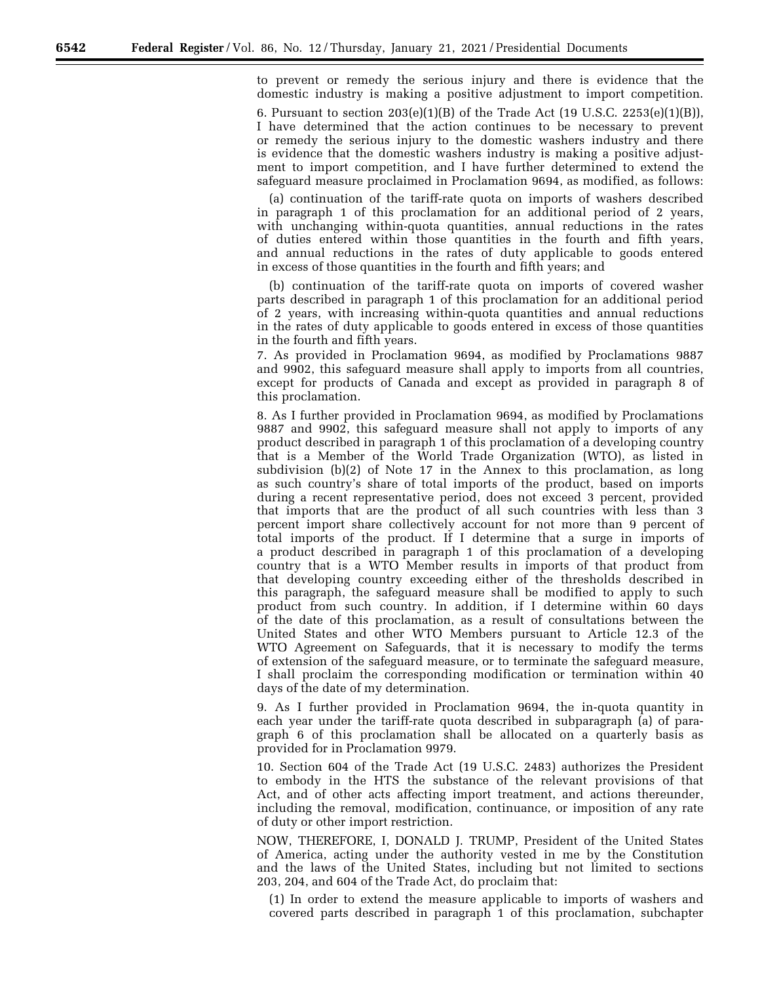to prevent or remedy the serious injury and there is evidence that the domestic industry is making a positive adjustment to import competition.

6. Pursuant to section 203(e)(1)(B) of the Trade Act (19 U.S.C. 2253(e)(1)(B)), I have determined that the action continues to be necessary to prevent or remedy the serious injury to the domestic washers industry and there is evidence that the domestic washers industry is making a positive adjustment to import competition, and I have further determined to extend the safeguard measure proclaimed in Proclamation 9694, as modified, as follows:

(a) continuation of the tariff-rate quota on imports of washers described in paragraph 1 of this proclamation for an additional period of 2 years, with unchanging within-quota quantities, annual reductions in the rates of duties entered within those quantities in the fourth and fifth years, and annual reductions in the rates of duty applicable to goods entered in excess of those quantities in the fourth and fifth years; and

(b) continuation of the tariff-rate quota on imports of covered washer parts described in paragraph 1 of this proclamation for an additional period of 2 years, with increasing within-quota quantities and annual reductions in the rates of duty applicable to goods entered in excess of those quantities in the fourth and fifth years.

7. As provided in Proclamation 9694, as modified by Proclamations 9887 and 9902, this safeguard measure shall apply to imports from all countries, except for products of Canada and except as provided in paragraph 8 of this proclamation.

8. As I further provided in Proclamation 9694, as modified by Proclamations 9887 and 9902, this safeguard measure shall not apply to imports of any product described in paragraph 1 of this proclamation of a developing country that is a Member of the World Trade Organization (WTO), as listed in subdivision (b)(2) of Note 17 in the Annex to this proclamation, as long as such country's share of total imports of the product, based on imports during a recent representative period, does not exceed 3 percent, provided that imports that are the product of all such countries with less than 3 percent import share collectively account for not more than 9 percent of total imports of the product. If I determine that a surge in imports of a product described in paragraph 1 of this proclamation of a developing country that is a WTO Member results in imports of that product from that developing country exceeding either of the thresholds described in this paragraph, the safeguard measure shall be modified to apply to such product from such country. In addition, if I determine within 60 days of the date of this proclamation, as a result of consultations between the United States and other WTO Members pursuant to Article 12.3 of the WTO Agreement on Safeguards, that it is necessary to modify the terms of extension of the safeguard measure, or to terminate the safeguard measure, I shall proclaim the corresponding modification or termination within 40 days of the date of my determination.

9. As I further provided in Proclamation 9694, the in-quota quantity in each year under the tariff-rate quota described in subparagraph (a) of paragraph 6 of this proclamation shall be allocated on a quarterly basis as provided for in Proclamation 9979.

10. Section 604 of the Trade Act (19 U.S.C. 2483) authorizes the President to embody in the HTS the substance of the relevant provisions of that Act, and of other acts affecting import treatment, and actions thereunder, including the removal, modification, continuance, or imposition of any rate of duty or other import restriction.

NOW, THEREFORE, I, DONALD J. TRUMP, President of the United States of America, acting under the authority vested in me by the Constitution and the laws of the United States, including but not limited to sections 203, 204, and 604 of the Trade Act, do proclaim that:

(1) In order to extend the measure applicable to imports of washers and covered parts described in paragraph 1 of this proclamation, subchapter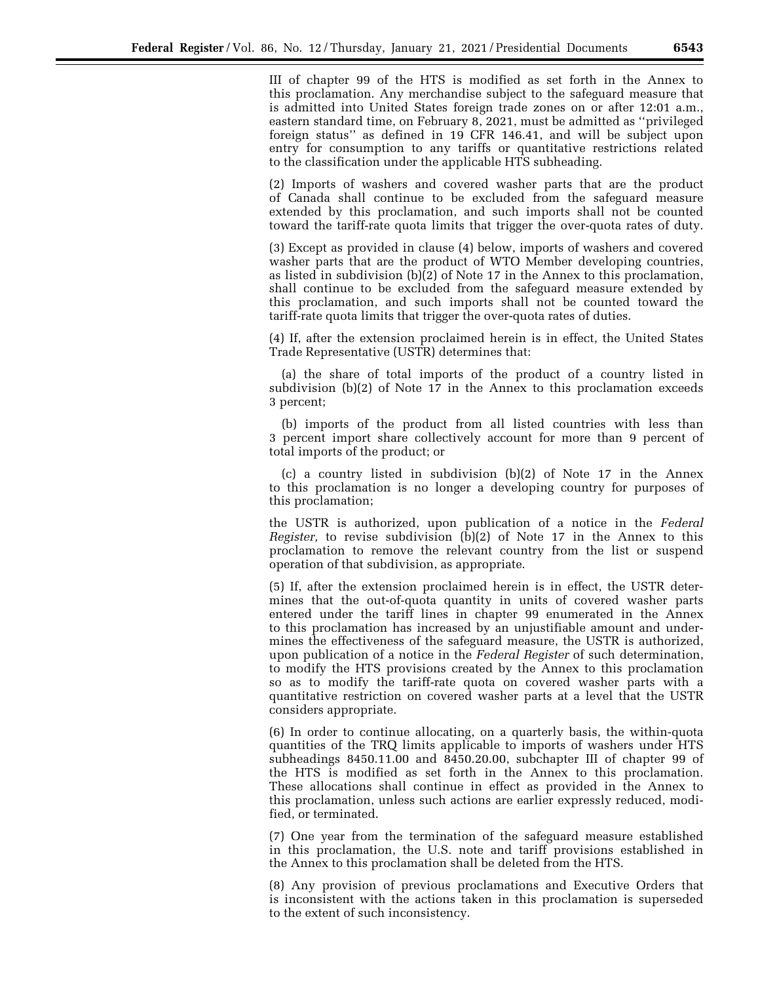III of chapter 99 of the HTS is modified as set forth in the Annex to this proclamation. Any merchandise subject to the safeguard measure that is admitted into United States foreign trade zones on or after 12:01 a.m., eastern standard time, on February 8, 2021, must be admitted as ''privileged foreign status'' as defined in 19 CFR 146.41, and will be subject upon entry for consumption to any tariffs or quantitative restrictions related to the classification under the applicable HTS subheading.

(2) Imports of washers and covered washer parts that are the product of Canada shall continue to be excluded from the safeguard measure extended by this proclamation, and such imports shall not be counted toward the tariff-rate quota limits that trigger the over-quota rates of duty.

(3) Except as provided in clause (4) below, imports of washers and covered washer parts that are the product of WTO Member developing countries, as listed in subdivision (b)(2) of Note 17 in the Annex to this proclamation, shall continue to be excluded from the safeguard measure extended by this proclamation, and such imports shall not be counted toward the tariff-rate quota limits that trigger the over-quota rates of duties.

(4) If, after the extension proclaimed herein is in effect, the United States Trade Representative (USTR) determines that:

(a) the share of total imports of the product of a country listed in subdivision (b)(2) of Note 17 in the Annex to this proclamation exceeds 3 percent;

(b) imports of the product from all listed countries with less than 3 percent import share collectively account for more than 9 percent of total imports of the product; or

(c) a country listed in subdivision (b)(2) of Note 17 in the Annex to this proclamation is no longer a developing country for purposes of this proclamation;

the USTR is authorized, upon publication of a notice in the *Federal Register,* to revise subdivision (b)(2) of Note 17 in the Annex to this proclamation to remove the relevant country from the list or suspend operation of that subdivision, as appropriate.

(5) If, after the extension proclaimed herein is in effect, the USTR determines that the out-of-quota quantity in units of covered washer parts entered under the tariff lines in chapter 99 enumerated in the Annex to this proclamation has increased by an unjustifiable amount and undermines the effectiveness of the safeguard measure, the USTR is authorized, upon publication of a notice in the *Federal Register* of such determination, to modify the HTS provisions created by the Annex to this proclamation so as to modify the tariff-rate quota on covered washer parts with a quantitative restriction on covered washer parts at a level that the USTR considers appropriate.

(6) In order to continue allocating, on a quarterly basis, the within-quota quantities of the TRQ limits applicable to imports of washers under HTS subheadings 8450.11.00 and 8450.20.00, subchapter III of chapter 99 of the HTS is modified as set forth in the Annex to this proclamation. These allocations shall continue in effect as provided in the Annex to this proclamation, unless such actions are earlier expressly reduced, modified, or terminated.

(7) One year from the termination of the safeguard measure established in this proclamation, the U.S. note and tariff provisions established in the Annex to this proclamation shall be deleted from the HTS.

(8) Any provision of previous proclamations and Executive Orders that is inconsistent with the actions taken in this proclamation is superseded to the extent of such inconsistency.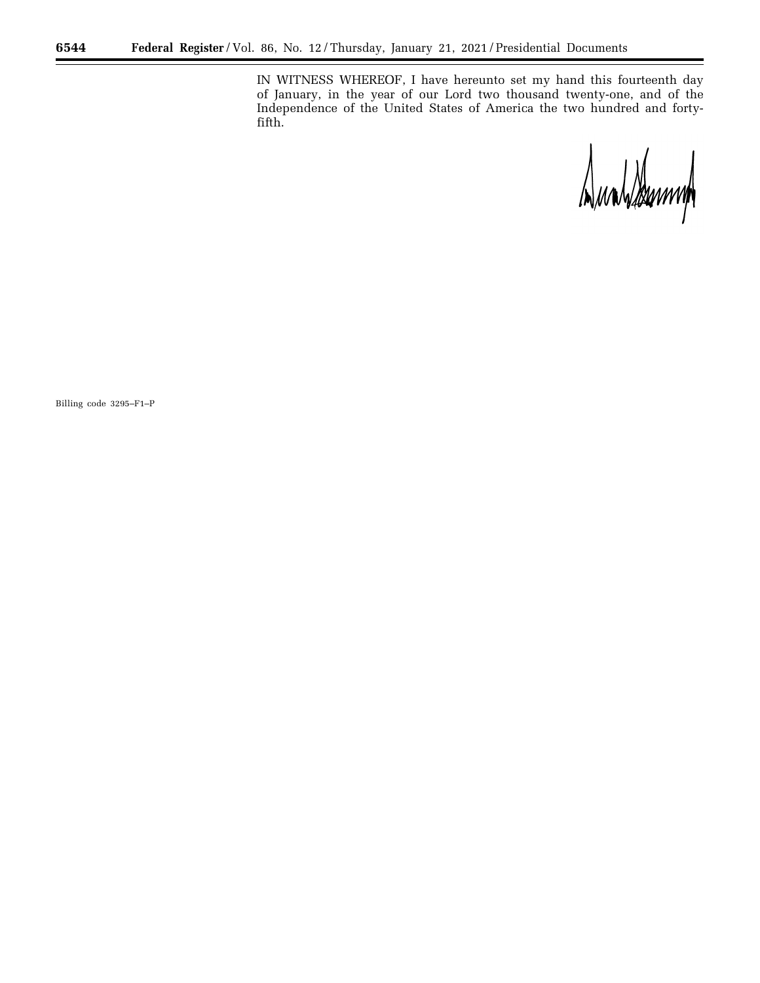IN WITNESS WHEREOF, I have hereunto set my hand this fourteenth day of January, in the year of our Lord two thousand twenty-one, and of the Independence of the United States of America the two hundred and fortyfifth.

Dualdemmy

Billing code 3295–F1–P

E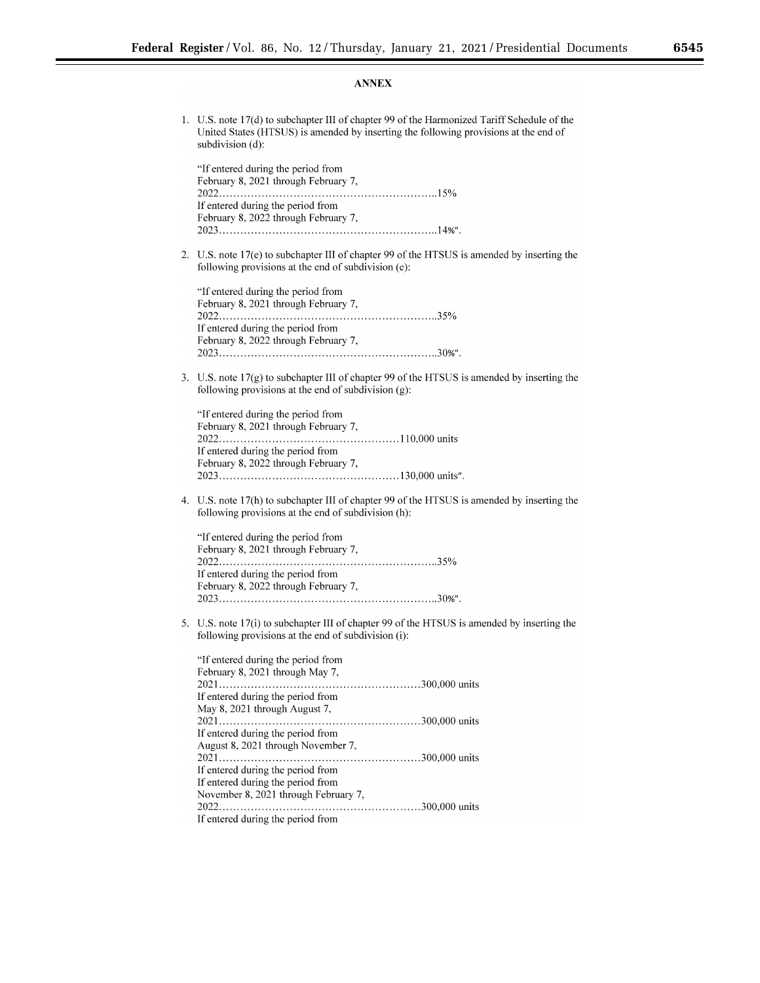## Ξ

## **ANNEX**

| 1. | U.S. note 17(d) to subchapter III of chapter 99 of the Harmonized Tariff Schedule of the<br>United States (HTSUS) is amended by inserting the following provisions at the end of<br>subdivision (d):                   |
|----|------------------------------------------------------------------------------------------------------------------------------------------------------------------------------------------------------------------------|
|    | "If entered during the period from<br>February 8, 2021 through February 7,                                                                                                                                             |
|    | If entered during the period from<br>February 8, 2022 through February 7,                                                                                                                                              |
| 2. | U.S. note 17(e) to subchapter III of chapter 99 of the HTSUS is amended by inserting the<br>following provisions at the end of subdivision (e):                                                                        |
|    | "If entered during the period from<br>February 8, 2021 through February 7,<br>If entered during the period from                                                                                                        |
|    | February 8, 2022 through February 7,                                                                                                                                                                                   |
| 3. | U.S. note $17(g)$ to subchapter III of chapter 99 of the HTSUS is amended by inserting the<br>following provisions at the end of subdivision (g):                                                                      |
|    | "If entered during the period from<br>February 8, 2021 through February 7,<br>If entered during the period from<br>February 8, 2022 through February 7,                                                                |
| 4. | U.S. note 17(h) to subchapter III of chapter 99 of the HTSUS is amended by inserting the<br>following provisions at the end of subdivision (h):                                                                        |
|    | "If entered during the period from<br>February 8, 2021 through February 7,<br>If entered during the period from<br>February 8, 2022 through February 7,                                                                |
| 5. | U.S. note 17(i) to subchapter III of chapter 99 of the HTSUS is amended by inserting the<br>following provisions at the end of subdivision (i):                                                                        |
|    | "If entered during the period from<br>February 8, 2021 through May 7,<br>If entered during the period from<br>May 8, 2021 through August 7,<br>If entered during the period from<br>August 8, 2021 through November 7, |
|    | If entered during the period from<br>If entered during the period from<br>November 8, 2021 through February 7,                                                                                                         |

If entered during the period from